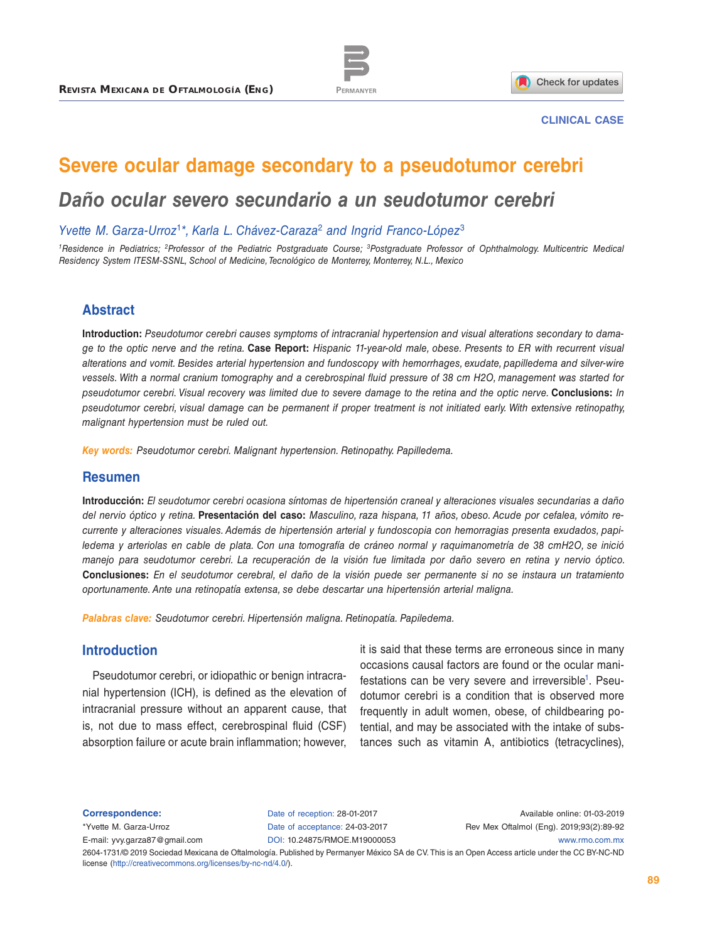



### **CLINICAL CASE**

# **Severe ocular damage secondary to a pseudotumor cerebri**

# *Daño ocular severo secundario a un seudotumor cerebri*

*Yvette M. Garza-Urroz*<sup>1</sup>*\*, Karla L. Chávez-Caraza*<sup>2</sup> *and Ingrid Franco-López*<sup>3</sup>

*1Residence in Pediatrics; 2Professor of the Pediatric Postgraduate Course; 3Postgraduate Professor of Ophthalmology. Multicentric Medical Residency System ITESM-SSNL, School of Medicine, Tecnológico de Monterrey, Monterrey, N.L., Mexico*

## **Abstract**

**Introduction:** *Pseudotumor cerebri causes symptoms of intracranial hypertension and visual alterations secondary to damage to the optic nerve and the retina.* **Case Report:** *Hispanic 11-year-old male, obese. Presents to ER with recurrent visual alterations and vomit. Besides arterial hypertension and fundoscopy with hemorrhages, exudate, papilledema and silver-wire vessels. With a normal cranium tomography and a cerebrospinal fluid pressure of 38 cm H2O, management was started for pseudotumor cerebri. Visual recovery was limited due to severe damage to the retina and the optic nerve.* **Conclusions:** *In pseudotumor cerebri, visual damage can be permanent if proper treatment is not initiated early. With extensive retinopathy, malignant hypertension must be ruled out.*

*Key words: Pseudotumor cerebri. Malignant hypertension. Retinopathy. Papilledema.*

### **Resumen**

**Introducción:** *El seudotumor cerebri ocasiona síntomas de hipertensión craneal y alteraciones visuales secundarias a daño del nervio óptico y retina.* **Presentación del caso:** *Masculino, raza hispana, 11 años, obeso. Acude por cefalea, vómito recurrente y alteraciones visuales. Además de hipertensión arterial y fundoscopia con hemorragias presenta exudados, papiledema y arteriolas en cable de plata. Con una tomografía de cráneo normal y raquimanometría de 38 cmH2O, se inició manejo para seudotumor cerebri. La recuperación de la visión fue limitada por daño severo en retina y nervio óptico.*  **Conclusiones:** *En el seudotumor cerebral, el daño de la visión puede ser permanente si no se instaura un tratamiento oportunamente. Ante una retinopatía extensa, se debe descartar una hipertensión arterial maligna.*

*Palabras clave: Seudotumor cerebri. Hipertensión maligna. Retinopatía. Papiledema.*

### **Introduction**

Pseudotumor cerebri, or idiopathic or benign intracranial hypertension (ICH), is defined as the elevation of intracranial pressure without an apparent cause, that is, not due to mass effect, cerebrospinal fluid (CSF) absorption failure or acute brain inflammation; however,

it is said that these terms are erroneous since in many occasions causal factors are found or the ocular manifestations can be very severe and irreversible<sup>1</sup>. Pseudotumor cerebri is a condition that is observed more frequently in adult women, obese, of childbearing potential, and may be associated with the intake of substances such as vitamin A, antibiotics (tetracyclines),

**Correspondence:**

\*Yvette M. Garza-Urroz

Date of reception: 28-01-2017 Date of acceptance: 24-03-2017

Available online: 01-03-2019 Rev Mex Oftalmol (Eng). 2019;93(2):89-92

E-mail: [yvy.garza87@gmail.com](mailto:yvy.garza87%40gmail.com?subject=)

DOI: [10.24875/RMOE.M1900005](http://dx.doi.org/10.24875/RMOE.M190000053)3

2604-1731/© 2019 Sociedad Mexicana de Oftalmología. Published by Permanyer México SA de CV. This is an Open Access article under the CC BY-NC-ND license [\(http://creativecommons.org/licenses/by-nc-nd/4.0/\)](http://creativecommons.org/licenses/by-nc-nd/4.0/). [www.rmo.com.mx](http://www.rmo.com.mx)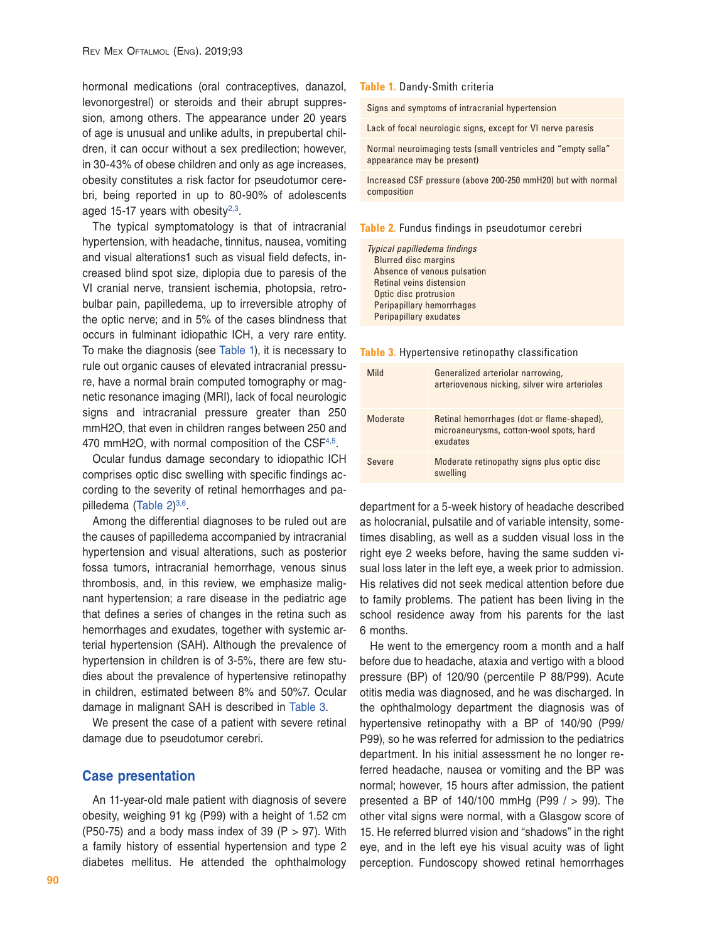hormonal medications (oral contraceptives, danazol, levonorgestrel) or steroids and their abrupt suppression, among others. The appearance under 20 years of age is unusual and unlike adults, in prepubertal children, it can occur without a sex predilection; however, in 30-43% of obese children and only as age increases, obesity constitutes a risk factor for pseudotumor cerebri, being reported in up to 80-90% of adolescents aged 15-17 years with obesity $2,3$  $2,3$ .

The typical symptomatology is that of intracranial hypertension, with headache, tinnitus, nausea, vomiting and visual alterations1 such as visual field defects, increased blind spot size, diplopia due to paresis of the VI cranial nerve, transient ischemia, photopsia, retrobulbar pain, papilledema, up to irreversible atrophy of the optic nerve; and in 5% of the cases blindness that occurs in fulminant idiopathic ICH, a very rare entity. To make the diagnosis (see [Table 1](#page-1-0)), it is necessary to rule out organic causes of elevated intracranial pressure, have a normal brain computed tomography or magnetic resonance imaging (MRI), lack of focal neurologic signs and intracranial pressure greater than 250 mmH2O, that even in children ranges between 250 and 470 mmH2O, with normal composition of the CSF<sup>4,5</sup>.

Ocular fundus damage secondary to idiopathic ICH comprises optic disc swelling with specific findings according to the severity of retinal hemorrhages and papilledema (Table  $2)^{3,6}$ .

Among the differential diagnoses to be ruled out are the causes of papilledema accompanied by intracranial hypertension and visual alterations, such as posterior fossa tumors, intracranial hemorrhage, venous sinus thrombosis, and, in this review, we emphasize malignant hypertension; a rare disease in the pediatric age that defines a series of changes in the retina such as hemorrhages and exudates, together with systemic arterial hypertension (SAH). Although the prevalence of hypertension in children is of 3-5%, there are few studies about the prevalence of hypertensive retinopathy in children, estimated between 8% and 50%7. Ocular damage in malignant SAH is described in [Table 3](#page-1-2).

We present the case of a patient with severe retinal damage due to pseudotumor cerebri.

### **Case presentation**

An 11-year-old male patient with diagnosis of severe obesity, weighing 91 kg (P99) with a height of 1.52 cm (P50-75) and a body mass index of 39 (P  $>$  97). With a family history of essential hypertension and type 2 diabetes mellitus. He attended the ophthalmology

#### <span id="page-1-0"></span>**Table 1.** Dandy-Smith criteria

Signs and symptoms of intracranial hypertension

Lack of focal neurologic signs, except for VI nerve paresis

Normal neuroimaging tests (small ventricles and "empty sella" appearance may be present)

Increased CSF pressure (above 200-250 mmH20) but with normal composition

#### <span id="page-1-1"></span>**Table 2.** Fundus findings in pseudotumor cerebri

*Typical papilledema findings* Blurred disc margins Absence of venous pulsation Retinal veins distension Optic disc protrusion Peripapillary hemorrhages Peripapillary exudates

#### <span id="page-1-2"></span>**Table 3.** Hypertensive retinopathy classification

| Mild     | Generalized arteriolar narrowing,<br>arteriovenous nicking, silver wire arterioles                |
|----------|---------------------------------------------------------------------------------------------------|
| Moderate | Retinal hemorrhages (dot or flame-shaped),<br>microaneurysms, cotton-wool spots, hard<br>exudates |
| Severe   | Moderate retinopathy signs plus optic disc<br>swelling                                            |

department for a 5-week history of headache described as holocranial, pulsatile and of variable intensity, sometimes disabling, as well as a sudden visual loss in the right eye 2 weeks before, having the same sudden visual loss later in the left eye, a week prior to admission. His relatives did not seek medical attention before due to family problems. The patient has been living in the school residence away from his parents for the last 6 months.

He went to the emergency room a month and a half before due to headache, ataxia and vertigo with a blood pressure (BP) of 120/90 (percentile P 88/P99). Acute otitis media was diagnosed, and he was discharged. In the ophthalmology department the diagnosis was of hypertensive retinopathy with a BP of 140/90 (P99/ P99), so he was referred for admission to the pediatrics department. In his initial assessment he no longer referred headache, nausea or vomiting and the BP was normal; however, 15 hours after admission, the patient presented a BP of 140/100 mmHg (P99 / > 99). The other vital signs were normal, with a Glasgow score of 15. He referred blurred vision and "shadows" in the right eye, and in the left eye his visual acuity was of light perception. Fundoscopy showed retinal hemorrhages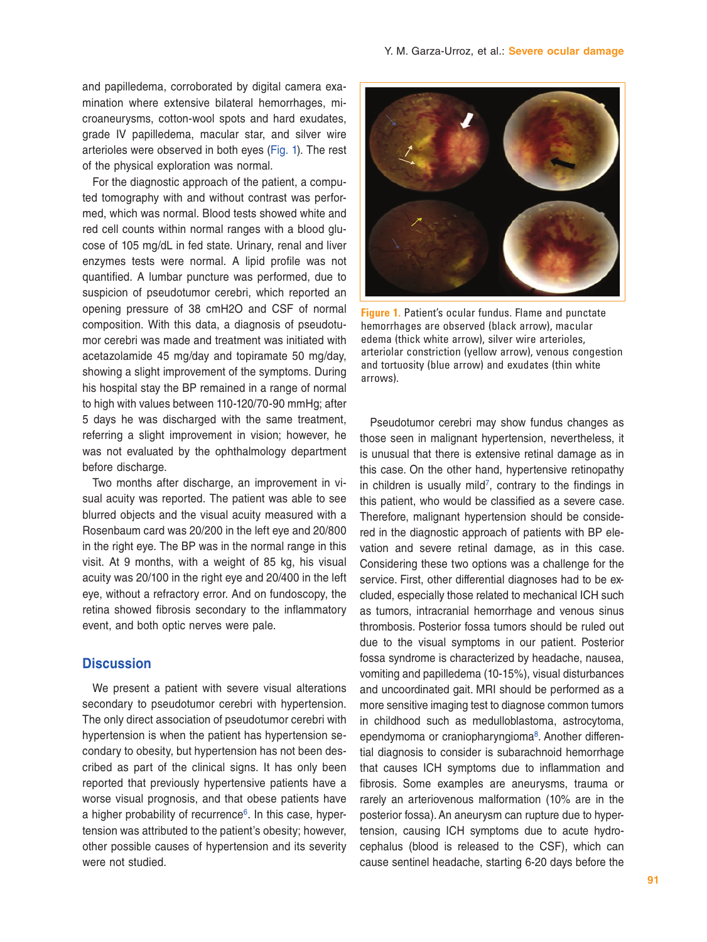and papilledema, corroborated by digital camera examination where extensive bilateral hemorrhages, microaneurysms, cotton-wool spots and hard exudates, grade IV papilledema, macular star, and silver wire arterioles were observed in both eyes (Fig. 1). The rest of the physical exploration was normal.

For the diagnostic approach of the patient, a computed tomography with and without contrast was performed, which was normal. Blood tests showed white and red cell counts within normal ranges with a blood glucose of 105 mg/dL in fed state. Urinary, renal and liver enzymes tests were normal. A lipid profile was not quantified. A lumbar puncture was performed, due to suspicion of pseudotumor cerebri, which reported an opening pressure of 38 cmH2O and CSF of normal composition. With this data, a diagnosis of pseudotumor cerebri was made and treatment was initiated with acetazolamide 45 mg/day and topiramate 50 mg/day, showing a slight improvement of the symptoms. During his hospital stay the BP remained in a range of normal to high with values between 110-120/70-90 mmHg; after 5 days he was discharged with the same treatment, referring a slight improvement in vision; however, he was not evaluated by the ophthalmology department before discharge.

Two months after discharge, an improvement in visual acuity was reported. The patient was able to see blurred objects and the visual acuity measured with a Rosenbaum card was 20/200 in the left eye and 20/800 in the right eye. The BP was in the normal range in this visit. At 9 months, with a weight of 85 kg, his visual acuity was 20/100 in the right eye and 20/400 in the left eye, without a refractory error. And on fundoscopy, the retina showed fibrosis secondary to the inflammatory event, and both optic nerves were pale.

### **Discussion**

We present a patient with severe visual alterations secondary to pseudotumor cerebri with hypertension. The only direct association of pseudotumor cerebri with hypertension is when the patient has hypertension secondary to obesity, but hypertension has not been described as part of the clinical signs. It has only been reported that previously hypertensive patients have a worse visual prognosis, and that obese patients have a higher probability of recurrence<sup>6</sup>. In this case, hypertension was attributed to the patient's obesity; however, other possible causes of hypertension and its severity were not studied.



**[Figure 1.](#page-2-0)** Patient's ocular fundus. Flame and punctate hemorrhages are observed (black arrow), macular edema (thick white arrow), silver wire arterioles, arteriolar constriction (yellow arrow), venous congestion and tortuosity (blue arrow) and exudates (thin white arrows).

<span id="page-2-0"></span>Pseudotumor cerebri may show fundus changes as those seen in malignant hypertension, nevertheless, it is unusual that there is extensive retinal damage as in this case. On the other hand, hypertensive retinopathy in children is usually mild<sup>7</sup>, contrary to the findings in this patient, who would be classified as a severe case. Therefore, malignant hypertension should be considered in the diagnostic approach of patients with BP elevation and severe retinal damage, as in this case. Considering these two options was a challenge for the service. First, other differential diagnoses had to be excluded, especially those related to mechanical ICH such as tumors, intracranial hemorrhage and venous sinus thrombosis. Posterior fossa tumors should be ruled out due to the visual symptoms in our patient. Posterior fossa syndrome is characterized by headache, nausea, vomiting and papilledema (10-15%), visual disturbances and uncoordinated gait. MRI should be performed as a more sensitive imaging test to diagnose common tumors in childhood such as medulloblastoma, astrocytoma, ependymoma or craniopharyngioma<sup>8</sup>. Another differential diagnosis to consider is subarachnoid hemorrhage that causes ICH symptoms due to inflammation and fibrosis. Some examples are aneurysms, trauma or rarely an arteriovenous malformation (10% are in the posterior fossa). An aneurysm can rupture due to hypertension, causing ICH symptoms due to acute hydrocephalus (blood is released to the CSF), which can cause sentinel headache, starting 6-20 days before the